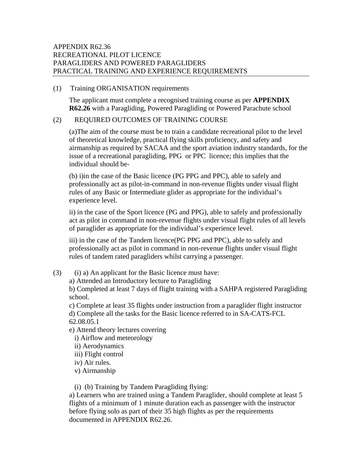# APPENDIX R62.36 RECREATIONAL PILOT LICENCE PARAGLIDERS AND POWERED PARAGLIDERS PRACTICAL TRAINING AND EXPERIENCE REQUIREMENTS

#### (1) Training ORGANISATION requirements

The applicant must complete a recognised training course as per **APPENDIX R62.26** with a Paragliding, Powered Paragliding or Powered Parachute school

# (2) REQUIRED OUTCOMES OF TRAINING COURSE

(a)The aim of the course must be to train a candidate recreational pilot to the level of theoretical knowledge, practical flying skills proficiency, and safety and airmanship as required by SACAA and the sport aviation industry standards, for the issue of a recreational paragliding, PPG or PPC licence; this implies that the individual should be-

(b) i)in the case of the Basic licence (PG PPG and PPC), able to safely and professionally act as pilot-in-command in non-revenue flights under visual flight rules of any Basic or Intermediate glider as appropriate for the individual's experience level.

ii) in the case of the Sport licence (PG and PPG), able to safely and professionally act as pilot in command in non-revenue flights under visual flight rules of all levels of paraglider as appropriate for the individual's experience level.

iii) in the case of the Tandem licence(PG PPG and PPC), able to safely and professionally act as pilot in command in non-revenue flights under visual flight rules of tandem rated paragliders whilst carrying a passenger.

(3) (i) a) An applicant for the Basic licence must have:

a) Attended an Introductory lecture to Paragliding

b) Completed at least 7 days of flight training with a SAHPA registered Paragliding school.

c) Complete at least 35 flights under instruction from a paraglider flight instructor d) Complete all the tasks for the Basic licence referred to in SA-CATS-FCL 62.08.05.1

- e) Attend theory lectures covering
	- i) Airflow and meteorology
	- ii) Aerodynamics
	- iii) Flight control
	- iv) Air rules.
	- v) Airmanship

(i) (b) Training by Tandem Paragliding flying:

a) Learners who are trained using a Tandem Paraglider, should complete at least 5 flights of a minimum of 1 minute duration each as passenger with the instructor before flying solo as part of their 35 high flights as per the requirements documented in APPENDIX R62.26.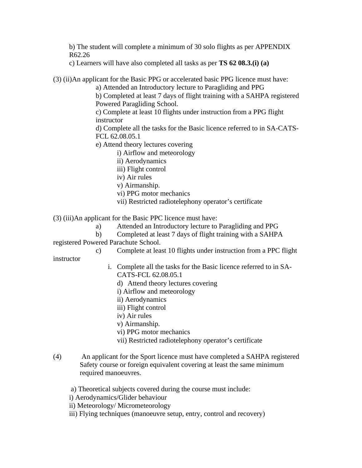b) The student will complete a minimum of 30 solo flights as per APPENDIX R62.26

c) Learners will have also completed all tasks as per **TS 62 08.3.(i) (a)** 

(3) (ii)An applicant for the Basic PPG or accelerated basic PPG licence must have:

a) Attended an Introductory lecture to Paragliding and PPG

b) Completed at least 7 days of flight training with a SAHPA registered Powered Paragliding School.

c) Complete at least 10 flights under instruction from a PPG flight instructor

d) Complete all the tasks for the Basic licence referred to in SA-CATS-FCL 62.08.05.1

e) Attend theory lectures covering

i) Airflow and meteorology

- ii) Aerodynamics
- iii) Flight control
- iv) Air rules

v) Airmanship.

- vi) PPG motor mechanics
- vii) Restricted radiotelephony operator's certificate

(3) (iii)An applicant for the Basic PPC licence must have:

- a) Attended an Introductory lecture to Paragliding and PPG
- b) Completed at least 7 days of flight training with a SAHPA

registered Powered Parachute School.

c) Complete at least 10 flights under instruction from a PPC flight

instructor

- i. Complete all the tasks for the Basic licence referred to in SA-CATS-FCL 62.08.05.1
	- d) Attend theory lectures covering
	- i) Airflow and meteorology
	- ii) Aerodynamics
	- iii) Flight control
	- iv) Air rules
	- v) Airmanship.
	- vi) PPG motor mechanics
	- vii) Restricted radiotelephony operator's certificate
- (4) An applicant for the Sport licence must have completed a SAHPA registered Safety course or foreign equivalent covering at least the same minimum required manoeuvres.

# a) Theoretical subjects covered during the course must include:

- i) Aerodynamics/Glider behaviour
- ii) Meteorology/ Micrometeorology
- iii) Flying techniques (manoeuvre setup, entry, control and recovery)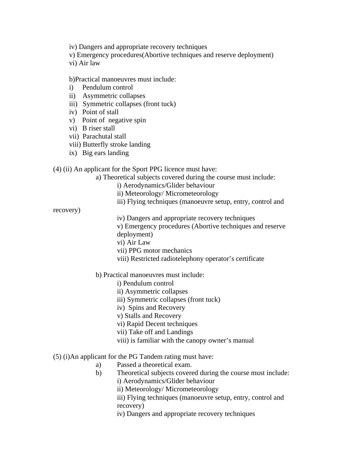iv) Dangers and appropriate recovery techniques

- v) Emergency procedures(Abortive techniques and reserve deployment)
- vi) Air law

#### b)Practical manoeuvres must include:

- i) Pendulum control
- ii) Asymmetric collapses
- iii) Symmetric collapses (front tuck)
- iv) Point of stall
- v) Point of negative spin
- vi) B riser stall
- vii) Parachutal stall
- viii) Butterfly stroke landing
- ix) Big ears landing

## (4) (ii) An applicant for the Sport PPG licence must have:

a) Theoretical subjects covered during the course must include:

- i) Aerodynamics/Glider behaviour
- ii) Meteorology/ Micrometeorology
- iii) Flying techniques (manoeuvre setup, entry, control and

recovery)

- iv) Dangers and appropriate recovery techniques
- v) Emergency procedures (Abortive techniques and reserve deployment)
- vi) Air Law
- vii) PPG motor mechanics
- viii) Restricted radiotelephony operator's certificate

## b) Practical manoeuvres must include:

- i) Pendulum control
- ii) Asymmetric collapses
- iii) Symmetric collapses (front tuck)
- iv) Spins and Recovery
- v) Stalls and Recovery
- vi) Rapid Decent techniques
- vii) Take off and Landings
- viii) is familiar with the canopy owner's manual

## (5) (i)An applicant for the PG Tandem rating must have:

- a) Passed a theoretical exam.
- b) Theoretical subjects covered during the course must include:
	- i) Aerodynamics/Glider behaviour
	- ii) Meteorology/ Micrometeorology
	- iii) Flying techniques (manoeuvre setup, entry, control and recovery)
	- iv) Dangers and appropriate recovery techniques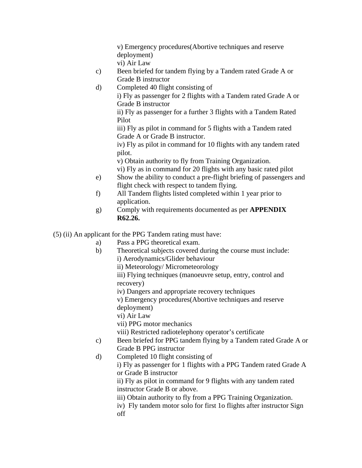v) Emergency procedures(Abortive techniques and reserve deployment) vi) Air Law

- c) Been briefed for tandem flying by a Tandem rated Grade A or Grade B instructor
- d) Completed 40 flight consisting of i) Fly as passenger for 2 flights with a Tandem rated Grade A or

Grade B instructor

ii) Fly as passenger for a further 3 flights with a Tandem Rated Pilot

iii) Fly as pilot in command for 5 flights with a Tandem rated Grade A or Grade B instructor.

iv) Fly as pilot in command for 10 flights with any tandem rated pilot.

v) Obtain authority to fly from Training Organization.

vi) Fly as in command for 20 flights with any basic rated pilot

- e) Show the ability to conduct a pre-flight briefing of passengers and flight check with respect to tandem flying.
- f) All Tandem flights listed completed within 1 year prior to application.
- g) Comply with requirements documented as per **APPENDIX R62.26.**

(5) (ii) An applicant for the PPG Tandem rating must have:

- a) Pass a PPG theoretical exam.
- b) Theoretical subjects covered during the course must include:

i) Aerodynamics/Glider behaviour

ii) Meteorology/ Micrometeorology

iii) Flying techniques (manoeuvre setup, entry, control and recovery)

iv) Dangers and appropriate recovery techniques

v) Emergency procedures(Abortive techniques and reserve deployment)

vi) Air Law

vii) PPG motor mechanics

viii) Restricted radiotelephony operator's certificate

- c) Been briefed for PPG tandem flying by a Tandem rated Grade A or Grade B PPG instructor
- d) Completed 10 flight consisting of

i) Fly as passenger for 1 flights with a PPG Tandem rated Grade A or Grade B instructor

ii) Fly as pilot in command for 9 flights with any tandem rated instructor Grade B or above.

- iii) Obtain authority to fly from a PPG Training Organization.
- iv) Fly tandem motor solo for first 1o flights after instructor Sign off